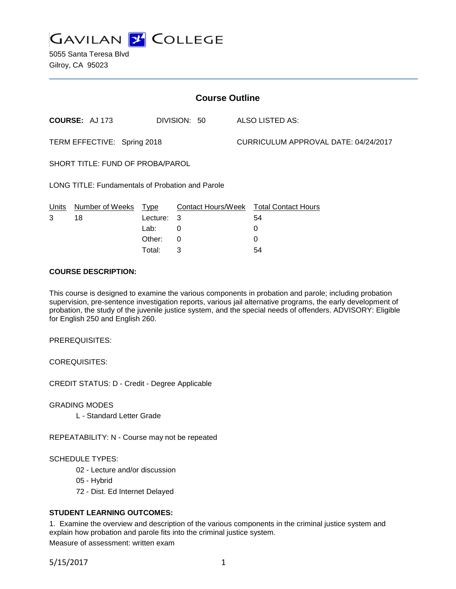

| <b>Course Outline</b>                            |                       |            |              |  |                                        |  |
|--------------------------------------------------|-----------------------|------------|--------------|--|----------------------------------------|--|
|                                                  | <b>COURSE: AJ 173</b> |            | DIVISION: 50 |  | ALSO LISTED AS:                        |  |
| TERM EFFECTIVE: Spring 2018                      |                       |            |              |  | CURRICULUM APPROVAL DATE: 04/24/2017   |  |
| SHORT TITLE: FUND OF PROBA/PAROL                 |                       |            |              |  |                                        |  |
| LONG TITLE: Fundamentals of Probation and Parole |                       |            |              |  |                                        |  |
| Units                                            | Number of Weeks Type  |            |              |  | Contact Hours/Week Total Contact Hours |  |
| 3                                                | 18                    | Lecture: 3 |              |  | 54                                     |  |
|                                                  |                       | Lab:       | 0            |  | 0                                      |  |
|                                                  |                       | Other:     | 0            |  | 0                                      |  |
|                                                  |                       | Total:     | 3            |  | 54                                     |  |

### **COURSE DESCRIPTION:**

This course is designed to examine the various components in probation and parole; including probation supervision, pre-sentence investigation reports, various jail alternative programs, the early development of probation, the study of the juvenile justice system, and the special needs of offenders. ADVISORY: Eligible for English 250 and English 260.

PREREQUISITES:

COREQUISITES:

CREDIT STATUS: D - Credit - Degree Applicable

GRADING MODES

L - Standard Letter Grade

REPEATABILITY: N - Course may not be repeated

#### SCHEDULE TYPES:

- 02 Lecture and/or discussion
- 05 Hybrid
- 72 Dist. Ed Internet Delayed

## **STUDENT LEARNING OUTCOMES:**

1. Examine the overview and description of the various components in the criminal justice system and explain how probation and parole fits into the criminal justice system.

Measure of assessment: written exam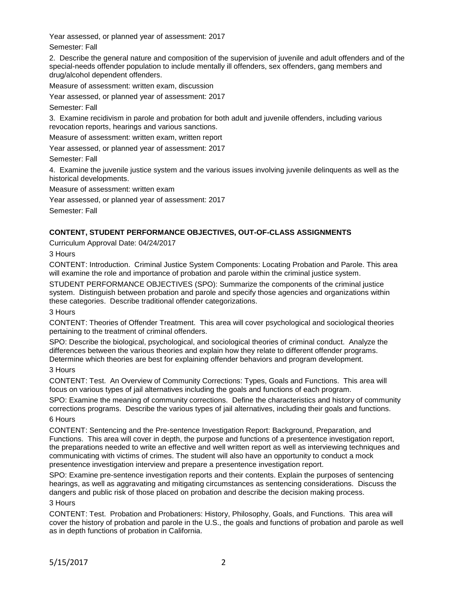Year assessed, or planned year of assessment: 2017

Semester: Fall

2. Describe the general nature and composition of the supervision of juvenile and adult offenders and of the special-needs offender population to include mentally ill offenders, sex offenders, gang members and drug/alcohol dependent offenders.

Measure of assessment: written exam, discussion

Year assessed, or planned year of assessment: 2017

Semester: Fall

3. Examine recidivism in parole and probation for both adult and juvenile offenders, including various revocation reports, hearings and various sanctions.

Measure of assessment: written exam, written report

Year assessed, or planned year of assessment: 2017

Semester: Fall

4. Examine the juvenile justice system and the various issues involving juvenile delinquents as well as the historical developments.

Measure of assessment: written exam

Year assessed, or planned year of assessment: 2017

Semester: Fall

# **CONTENT, STUDENT PERFORMANCE OBJECTIVES, OUT-OF-CLASS ASSIGNMENTS**

Curriculum Approval Date: 04/24/2017

3 Hours

CONTENT: Introduction. Criminal Justice System Components: Locating Probation and Parole. This area will examine the role and importance of probation and parole within the criminal justice system.

STUDENT PERFORMANCE OBJECTIVES (SPO): Summarize the components of the criminal justice system. Distinguish between probation and parole and specify those agencies and organizations within these categories. Describe traditional offender categorizations.

3 Hours

CONTENT: Theories of Offender Treatment. This area will cover psychological and sociological theories pertaining to the treatment of criminal offenders.

SPO: Describe the biological, psychological, and sociological theories of criminal conduct. Analyze the differences between the various theories and explain how they relate to different offender programs. Determine which theories are best for explaining offender behaviors and program development.

## 3 Hours

CONTENT: Test. An Overview of Community Corrections: Types, Goals and Functions. This area will focus on various types of jail alternatives including the goals and functions of each program.

SPO: Examine the meaning of community corrections. Define the characteristics and history of community corrections programs. Describe the various types of jail alternatives, including their goals and functions.

## 6 Hours

CONTENT: Sentencing and the Pre-sentence Investigation Report: Background, Preparation, and Functions. This area will cover in depth, the purpose and functions of a presentence investigation report, the preparations needed to write an effective and well written report as well as interviewing techniques and communicating with victims of crimes. The student will also have an opportunity to conduct a mock presentence investigation interview and prepare a presentence investigation report.

SPO: Examine pre-sentence investigation reports and their contents. Explain the purposes of sentencing hearings, as well as aggravating and mitigating circumstances as sentencing considerations. Discuss the dangers and public risk of those placed on probation and describe the decision making process.

# 3 Hours

CONTENT: Test. Probation and Probationers: History, Philosophy, Goals, and Functions. This area will cover the history of probation and parole in the U.S., the goals and functions of probation and parole as well as in depth functions of probation in California.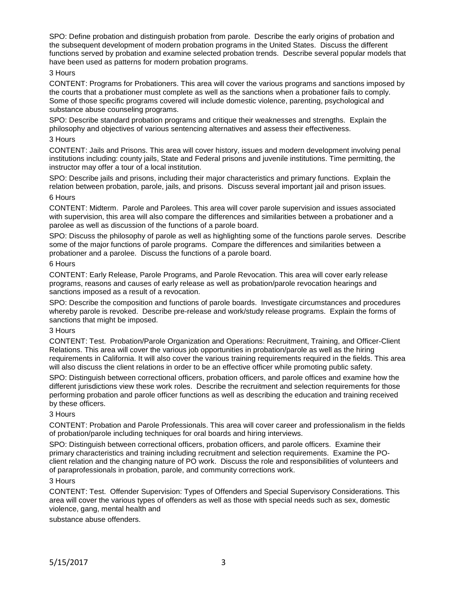SPO: Define probation and distinguish probation from parole. Describe the early origins of probation and the subsequent development of modern probation programs in the United States. Discuss the different functions served by probation and examine selected probation trends. Describe several popular models that have been used as patterns for modern probation programs.

### 3 Hours

CONTENT: Programs for Probationers. This area will cover the various programs and sanctions imposed by the courts that a probationer must complete as well as the sanctions when a probationer fails to comply. Some of those specific programs covered will include domestic violence, parenting, psychological and substance abuse counseling programs.

SPO: Describe standard probation programs and critique their weaknesses and strengths. Explain the philosophy and objectives of various sentencing alternatives and assess their effectiveness.

### 3 Hours

CONTENT: Jails and Prisons. This area will cover history, issues and modern development involving penal institutions including: county jails, State and Federal prisons and juvenile institutions. Time permitting, the instructor may offer a tour of a local institution.

SPO: Describe jails and prisons, including their major characteristics and primary functions. Explain the relation between probation, parole, jails, and prisons. Discuss several important jail and prison issues. 6 Hours

### CONTENT: Midterm. Parole and Parolees. This area will cover parole supervision and issues associated with supervision, this area will also compare the differences and similarities between a probationer and a parolee as well as discussion of the functions of a parole board.

SPO: Discuss the philosophy of parole as well as highlighting some of the functions parole serves. Describe some of the major functions of parole programs. Compare the differences and similarities between a probationer and a parolee. Discuss the functions of a parole board.

### 6 Hours

CONTENT: Early Release, Parole Programs, and Parole Revocation. This area will cover early release programs, reasons and causes of early release as well as probation/parole revocation hearings and sanctions imposed as a result of a revocation.

SPO: Describe the composition and functions of parole boards. Investigate circumstances and procedures whereby parole is revoked. Describe pre-release and work/study release programs. Explain the forms of sanctions that might be imposed.

## 3 Hours

CONTENT: Test. Probation/Parole Organization and Operations: Recruitment, Training, and Officer-Client Relations. This area will cover the various job opportunities in probation/parole as well as the hiring requirements in California. It will also cover the various training requirements required in the fields. This area will also discuss the client relations in order to be an effective officer while promoting public safety.

SPO: Distinguish between correctional officers, probation officers, and parole offices and examine how the different jurisdictions view these work roles. Describe the recruitment and selection requirements for those performing probation and parole officer functions as well as describing the education and training received by these officers.

# 3 Hours

CONTENT: Probation and Parole Professionals. This area will cover career and professionalism in the fields of probation/parole including techniques for oral boards and hiring interviews.

SPO: Distinguish between correctional officers, probation officers, and parole officers. Examine their primary characteristics and training including recruitment and selection requirements. Examine the POclient relation and the changing nature of PO work. Discuss the role and responsibilities of volunteers and of paraprofessionals in probation, parole, and community corrections work.

#### 3 Hours

CONTENT: Test. Offender Supervision: Types of Offenders and Special Supervisory Considerations. This area will cover the various types of offenders as well as those with special needs such as sex, domestic violence, gang, mental health and

substance abuse offenders.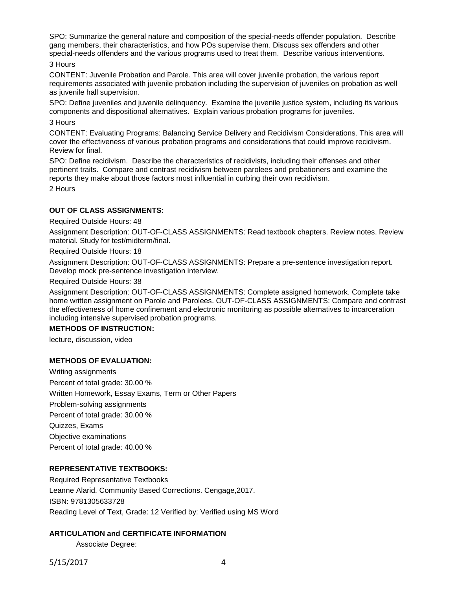SPO: Summarize the general nature and composition of the special-needs offender population. Describe gang members, their characteristics, and how POs supervise them. Discuss sex offenders and other special-needs offenders and the various programs used to treat them. Describe various interventions.

### 3 Hours

CONTENT: Juvenile Probation and Parole. This area will cover juvenile probation, the various report requirements associated with juvenile probation including the supervision of juveniles on probation as well as juvenile hall supervision.

SPO: Define juveniles and juvenile delinquency. Examine the juvenile justice system, including its various components and dispositional alternatives. Explain various probation programs for juveniles. 3 Hours

CONTENT: Evaluating Programs: Balancing Service Delivery and Recidivism Considerations. This area will cover the effectiveness of various probation programs and considerations that could improve recidivism. Review for final.

SPO: Define recidivism. Describe the characteristics of recidivists, including their offenses and other pertinent traits. Compare and contrast recidivism between parolees and probationers and examine the reports they make about those factors most influential in curbing their own recidivism.

2 Hours

# **OUT OF CLASS ASSIGNMENTS:**

Required Outside Hours: 48

Assignment Description: OUT-OF-CLASS ASSIGNMENTS: Read textbook chapters. Review notes. Review material. Study for test/midterm/final.

Required Outside Hours: 18

Assignment Description: OUT-OF-CLASS ASSIGNMENTS: Prepare a pre-sentence investigation report. Develop mock pre-sentence investigation interview.

Required Outside Hours: 38

Assignment Description: OUT-OF-CLASS ASSIGNMENTS: Complete assigned homework. Complete take home written assignment on Parole and Parolees. OUT-OF-CLASS ASSIGNMENTS: Compare and contrast the effectiveness of home confinement and electronic monitoring as possible alternatives to incarceration including intensive supervised probation programs.

## **METHODS OF INSTRUCTION:**

lecture, discussion, video

## **METHODS OF EVALUATION:**

Writing assignments Percent of total grade: 30.00 % Written Homework, Essay Exams, Term or Other Papers Problem-solving assignments Percent of total grade: 30.00 % Quizzes, Exams Objective examinations Percent of total grade: 40.00 %

## **REPRESENTATIVE TEXTBOOKS:**

Required Representative Textbooks Leanne Alarid. Community Based Corrections. Cengage,2017. ISBN: 9781305633728 Reading Level of Text, Grade: 12 Verified by: Verified using MS Word

# **ARTICULATION and CERTIFICATE INFORMATION**

Associate Degree:

5/15/2017 4